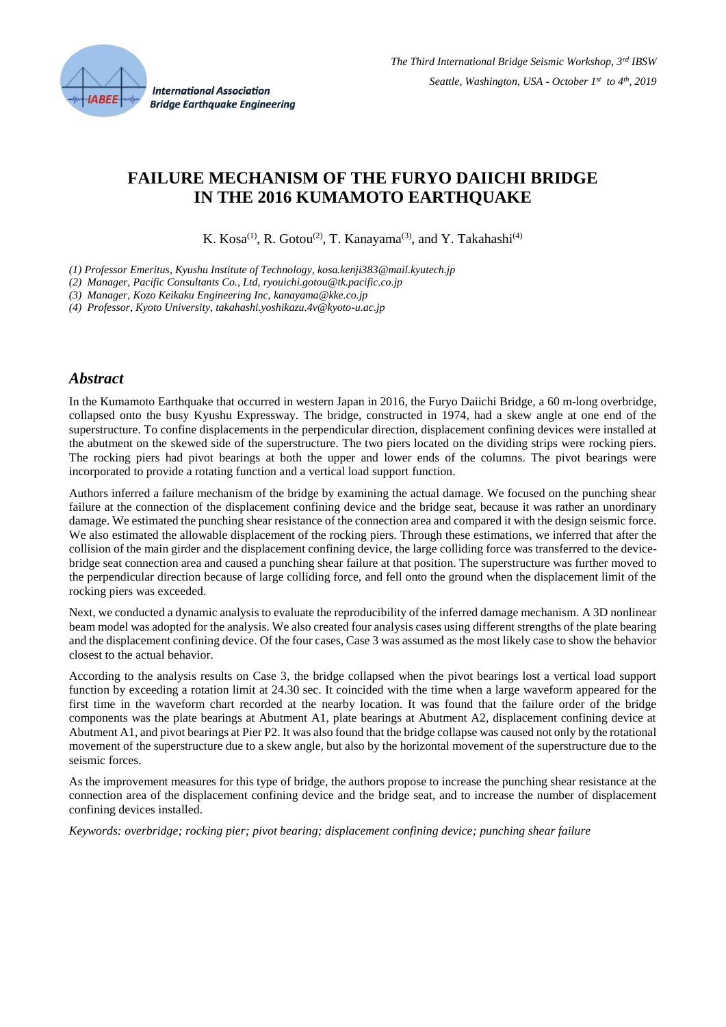

# **FAILURE MECHANISM OF THE FURYO DAIICHI BRIDGE IN THE 2016 KUMAMOTO EARTHQUAKE**

K. Kosa<sup>(1)</sup>, R. Gotou<sup>(2)</sup>, T. Kanayama<sup>(3)</sup>, and Y. Takahashi<sup>(4)</sup>

*(1) Professor Emeritus, Kyushu Institute of Technology, kosa.kenji383@mail.kyutech.jp*

*(2) Manager, Pacific Consultants Co., Ltd, ryouichi.gotou@tk.pacific.co.jp*

*(3) Manager, Kozo Keikaku Engineering Inc, kanayama@kke.co.jp*

*(4) Professor, Kyoto University, takahashi.yoshikazu.4v@kyoto-u.ac.jp*

### *Abstract*

In the Kumamoto Earthquake that occurred in western Japan in 2016, the Furyo Daiichi Bridge, a 60 m-long overbridge, collapsed onto the busy Kyushu Expressway. The bridge, constructed in 1974, had a skew angle at one end of the superstructure. To confine displacements in the perpendicular direction, displacement confining devices were installed at the abutment on the skewed side of the superstructure. The two piers located on the dividing strips were rocking piers. The rocking piers had pivot bearings at both the upper and lower ends of the columns. The pivot bearings were incorporated to provide a rotating function and a vertical load support function.

Authors inferred a failure mechanism of the bridge by examining the actual damage. We focused on the punching shear failure at the connection of the displacement confining device and the bridge seat, because it was rather an unordinary damage. We estimated the punching shear resistance of the connection area and compared it with the design seismic force. We also estimated the allowable displacement of the rocking piers. Through these estimations, we inferred that after the collision of the main girder and the displacement confining device, the large colliding force was transferred to the devicebridge seat connection area and caused a punching shear failure at that position. The superstructure was further moved to the perpendicular direction because of large colliding force, and fell onto the ground when the displacement limit of the rocking piers was exceeded.

Next, we conducted a dynamic analysis to evaluate the reproducibility of the inferred damage mechanism. A 3D nonlinear beam model was adopted for the analysis. We also created four analysis cases using different strengths of the plate bearing and the displacement confining device. Of the four cases, Case 3 was assumed as the most likely case to show the behavior closest to the actual behavior.

According to the analysis results on Case 3, the bridge collapsed when the pivot bearings lost a vertical load support function by exceeding a rotation limit at 24.30 sec. It coincided with the time when a large waveform appeared for the first time in the waveform chart recorded at the nearby location. It was found that the failure order of the bridge components was the plate bearings at Abutment A1, plate bearings at Abutment A2, displacement confining device at Abutment A1, and pivot bearings at Pier P2. It was also found that the bridge collapse was caused not only by the rotational movement of the superstructure due to a skew angle, but also by the horizontal movement of the superstructure due to the seismic forces.

As the improvement measures for this type of bridge, the authors propose to increase the punching shear resistance at the connection area of the displacement confining device and the bridge seat, and to increase the number of displacement confining devices installed.

*Keywords: overbridge; rocking pier; pivot bearing; displacement confining device; punching shear failure*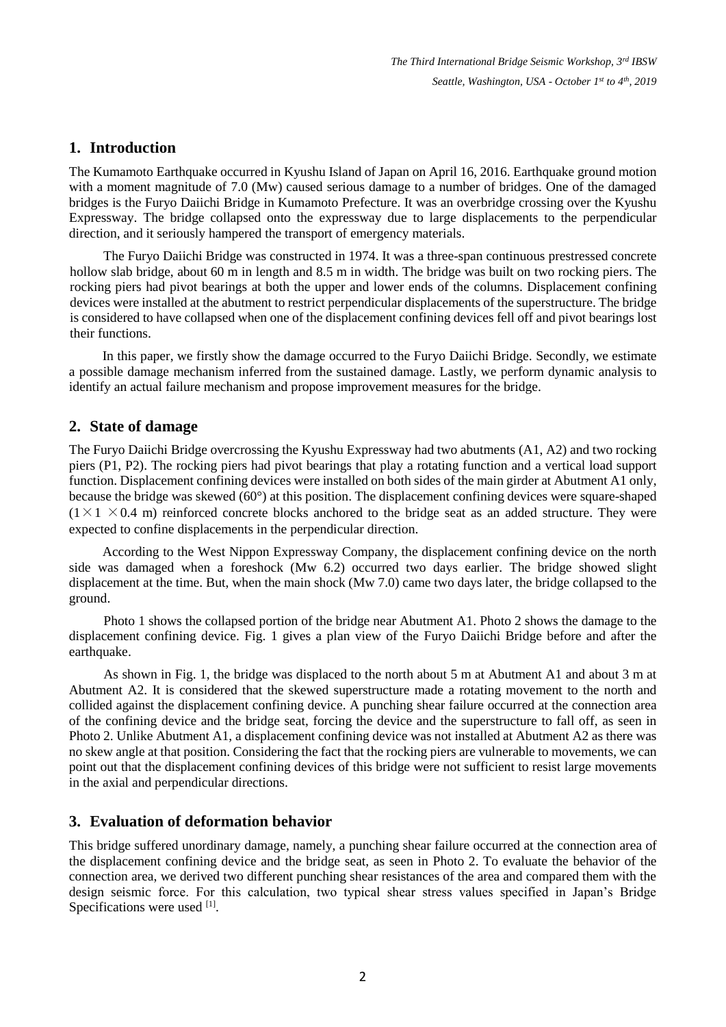# **1. Introduction**

The Kumamoto Earthquake occurred in Kyushu Island of Japan on April 16, 2016. Earthquake ground motion with a moment magnitude of 7.0 (Mw) caused serious damage to a number of bridges. One of the damaged bridges is the Furyo Daiichi Bridge in Kumamoto Prefecture. It was an overbridge crossing over the Kyushu Expressway. The bridge collapsed onto the expressway due to large displacements to the perpendicular direction, and it seriously hampered the transport of emergency materials.

The Furyo Daiichi Bridge was constructed in 1974. It was a three-span continuous prestressed concrete hollow slab bridge, about 60 m in length and 8.5 m in width. The bridge was built on two rocking piers. The rocking piers had pivot bearings at both the upper and lower ends of the columns. Displacement confining devices were installed at the abutment to restrict perpendicular displacements of the superstructure. The bridge is considered to have collapsed when one of the displacement confining devices fell off and pivot bearings lost their functions.

In this paper, we firstly show the damage occurred to the Furyo Daiichi Bridge. Secondly, we estimate a possible damage mechanism inferred from the sustained damage. Lastly, we perform dynamic analysis to identify an actual failure mechanism and propose improvement measures for the bridge.

## **2. State of damage**

The Furyo Daiichi Bridge overcrossing the Kyushu Expressway had two abutments (A1, A2) and two rocking piers (P1, P2). The rocking piers had pivot bearings that play a rotating function and a vertical load support function. Displacement confining devices were installed on both sides of the main girder at Abutment A1 only, because the bridge was skewed (60°) at this position. The displacement confining devices were square-shaped  $(1\times1\times0.4$  m) reinforced concrete blocks anchored to the bridge seat as an added structure. They were expected to confine displacements in the perpendicular direction.

According to the West Nippon Expressway Company, the displacement confining device on the north side was damaged when a foreshock (Mw 6.2) occurred two days earlier. The bridge showed slight displacement at the time. But, when the main shock (Mw 7.0) came two days later, the bridge collapsed to the ground.

Photo 1 shows the collapsed portion of the bridge near Abutment A1. Photo 2 shows the damage to the displacement confining device. Fig. 1 gives a plan view of the Furyo Daiichi Bridge before and after the earthquake.

As shown in Fig. 1, the bridge was displaced to the north about 5 m at Abutment A1 and about 3 m at Abutment A2. It is considered that the skewed superstructure made a rotating movement to the north and collided against the displacement confining device. A punching shear failure occurred at the connection area of the confining device and the bridge seat, forcing the device and the superstructure to fall off, as seen in Photo 2. Unlike Abutment A1, a displacement confining device was not installed at Abutment A2 as there was no skew angle at that position. Considering the fact that the rocking piers are vulnerable to movements, we can point out that the displacement confining devices of this bridge were not sufficient to resist large movements in the axial and perpendicular directions.

### **3. Evaluation of deformation behavior**

This bridge suffered unordinary damage, namely, a punching shear failure occurred at the connection area of the displacement confining device and the bridge seat, as seen in Photo 2. To evaluate the behavior of the connection area, we derived two different punching shear resistances of the area and compared them with the design seismic force. For this calculation, two typical shear stress values specified in Japan's Bridge Specifications were used [1].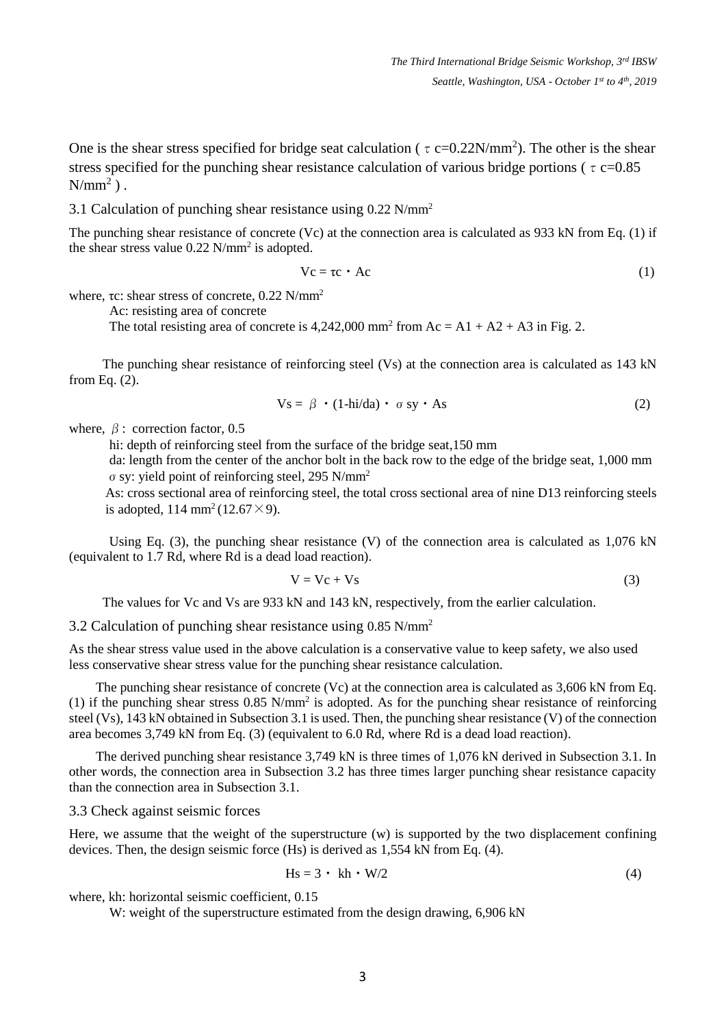One is the shear stress specified for bridge seat calculation ( $\tau$  c=0.22N/mm<sup>2</sup>). The other is the shear stress specified for the punching shear resistance calculation of various bridge portions ( $\tau$  c=0.85  $N/mm^2$ ).

3.1 Calculation of punching shear resistance using 0.22 N/mm<sup>2</sup>

The punching shear resistance of concrete (Vc) at the connection area is calculated as 933 kN from Eq. (1) if the shear stress value  $0.22$  N/mm<sup>2</sup> is adopted.

$$
Vc = \tau c \cdot Ac \tag{1}
$$

where, τc: shear stress of concrete, 0.22 N/mm<sup>2</sup>

Ac: resisting area of concrete

The total resisting area of concrete is  $4,242,000$  mm<sup>2</sup> from Ac = A1 + A2 + A3 in Fig. 2.

The punching shear resistance of reinforcing steel (Vs) at the connection area is calculated as 143 kN from Eq. (2).

$$
V_s = \beta \cdot (1 - \text{hi}/\text{da}) \cdot \sigma s y \cdot \text{As}
$$
 (2)

where,  $\beta$ : correction factor, 0.5

hi: depth of reinforcing steel from the surface of the bridge seat,150 mm

 da: length from the center of the anchor bolt in the back row to the edge of the bridge seat, 1,000 mm σsy: yield point of reinforcing steel, 295 N/mm<sup>2</sup>

As: cross sectional area of reinforcing steel, the total cross sectional area of nine D13 reinforcing steels is adopted,  $114 \text{ mm}^2 (12.67 \times 9)$ .

Using Eq. (3), the punching shear resistance (V) of the connection area is calculated as 1,076 kN (equivalent to 1.7 Rd, where Rd is a dead load reaction).

$$
V = Vc + Vs
$$
 (3)

The values for Vc and Vs are 933 kN and 143 kN, respectively, from the earlier calculation.

3.2 Calculation of punching shear resistance using 0.85 N/mm<sup>2</sup>

As the shear stress value used in the above calculation is a conservative value to keep safety, we also used less conservative shear stress value for the punching shear resistance calculation.

The punching shear resistance of concrete (Vc) at the connection area is calculated as 3,606 kN from Eq. (1) if the punching shear stress  $0.85$  N/mm<sup>2</sup> is adopted. As for the punching shear resistance of reinforcing steel (Vs), 143 kN obtained in Subsection 3.1 is used. Then, the punching shear resistance (V) of the connection area becomes 3,749 kN from Eq. (3) (equivalent to 6.0 Rd, where Rd is a dead load reaction).

The derived punching shear resistance 3,749 kN is three times of 1,076 kN derived in Subsection 3.1. In other words, the connection area in Subsection 3.2 has three times larger punching shear resistance capacity than the connection area in Subsection 3.1.

3.3 Check against seismic forces

Here, we assume that the weight of the superstructure (w) is supported by the two displacement confining devices. Then, the design seismic force (Hs) is derived as 1,554 kN from Eq. (4).

$$
Hs = 3 \cdot kh \cdot W/2 \tag{4}
$$

where, kh: horizontal seismic coefficient, 0.15

W: weight of the superstructure estimated from the design drawing, 6,906 kN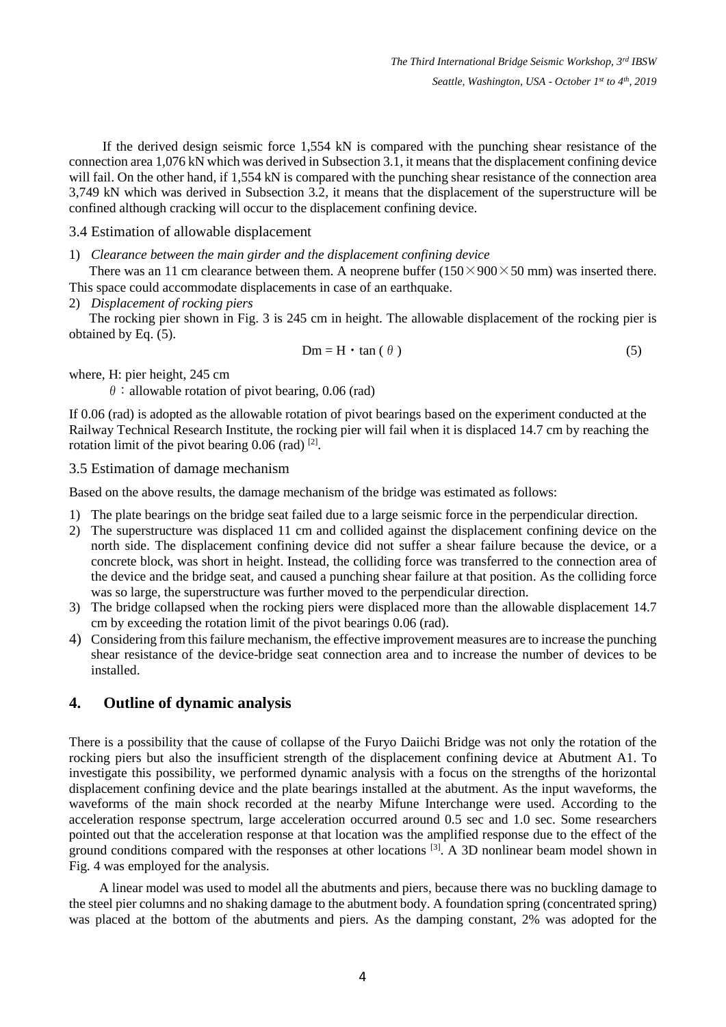If the derived design seismic force 1,554 kN is compared with the punching shear resistance of the connection area 1,076 kN which was derived in Subsection 3.1, it means that the displacement confining device will fail. On the other hand, if 1,554 kN is compared with the punching shear resistance of the connection area 3,749 kN which was derived in Subsection 3.2, it means that the displacement of the superstructure will be confined although cracking will occur to the displacement confining device.

#### 3.4 Estimation of allowable displacement

#### 1) *Clearance between the main girder and the displacement confining device*

There was an 11 cm clearance between them. A neoprene buffer  $(150 \times 900 \times 50$  mm) was inserted there. This space could accommodate displacements in case of an earthquake.

2) *Displacement of rocking piers*

The rocking pier shown in Fig. 3 is 245 cm in height. The allowable displacement of the rocking pier is obtained by Eq. (5).

$$
Dm = H \cdot \tan(\theta)
$$
 (5)

where, H: pier height, 245 cm

 $\theta$ : allowable rotation of pivot bearing, 0.06 (rad)

If 0.06 (rad) is adopted as the allowable rotation of pivot bearings based on the experiment conducted at the Railway Technical Research Institute, the rocking pier will fail when it is displaced 14.7 cm by reaching the rotation limit of the pivot bearing  $0.06$  (rad)  $^{[2]}$ .

3.5 Estimation of damage mechanism

Based on the above results, the damage mechanism of the bridge was estimated as follows:

- 1) The plate bearings on the bridge seat failed due to a large seismic force in the perpendicular direction.
- 2) The superstructure was displaced 11 cm and collided against the displacement confining device on the north side. The displacement confining device did not suffer a shear failure because the device, or a concrete block, was short in height. Instead, the colliding force was transferred to the connection area of the device and the bridge seat, and caused a punching shear failure at that position. As the colliding force was so large, the superstructure was further moved to the perpendicular direction.
- 3) The bridge collapsed when the rocking piers were displaced more than the allowable displacement 14.7 cm by exceeding the rotation limit of the pivot bearings 0.06 (rad).
- 4) Considering from this failure mechanism, the effective improvement measures are to increase the punching shear resistance of the device-bridge seat connection area and to increase the number of devices to be installed.

### **4. Outline of dynamic analysis**

There is a possibility that the cause of collapse of the Furyo Daiichi Bridge was not only the rotation of the rocking piers but also the insufficient strength of the displacement confining device at Abutment A1. To investigate this possibility, we performed dynamic analysis with a focus on the strengths of the horizontal displacement confining device and the plate bearings installed at the abutment. As the input waveforms, the waveforms of the main shock recorded at the nearby Mifune Interchange were used. According to the acceleration response spectrum, large acceleration occurred around 0.5 sec and 1.0 sec. Some researchers pointed out that the acceleration response at that location was the amplified response due to the effect of the ground conditions compared with the responses at other locations <sup>[3]</sup>. A 3D nonlinear beam model shown in Fig. 4 was employed for the analysis.

 A linear model was used to model all the abutments and piers, because there was no buckling damage to the steel pier columns and no shaking damage to the abutment body. A foundation spring (concentrated spring) was placed at the bottom of the abutments and piers. As the damping constant, 2% was adopted for the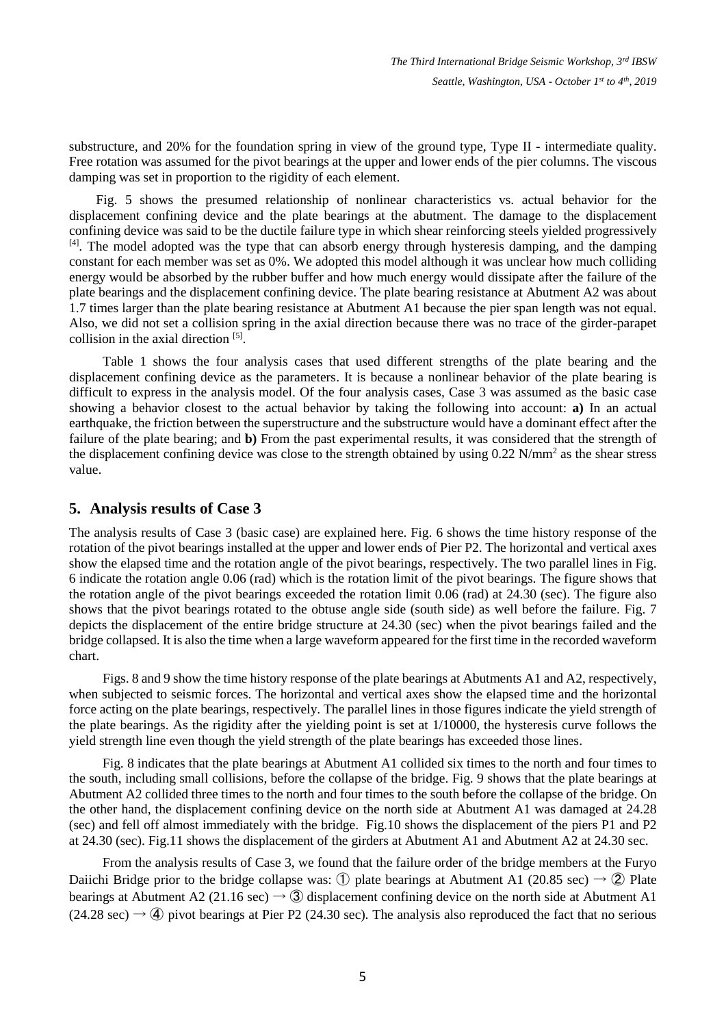substructure, and 20% for the foundation spring in view of the ground type, Type II - intermediate quality. Free rotation was assumed for the pivot bearings at the upper and lower ends of the pier columns. The viscous damping was set in proportion to the rigidity of each element.

 Fig. 5 shows the presumed relationship of nonlinear characteristics vs. actual behavior for the displacement confining device and the plate bearings at the abutment. The damage to the displacement confining device was said to be the ductile failure type in which shear reinforcing steels yielded progressively <sup>[4]</sup>. The model adopted was the type that can absorb energy through hysteresis damping, and the damping constant for each member was set as 0%. We adopted this model although it was unclear how much colliding energy would be absorbed by the rubber buffer and how much energy would dissipate after the failure of the plate bearings and the displacement confining device. The plate bearing resistance at Abutment A2 was about 1.7 times larger than the plate bearing resistance at Abutment A1 because the pier span length was not equal. Also, we did not set a collision spring in the axial direction because there was no trace of the girder-parapet collision in the axial direction <sup>[5]</sup>.

Table 1 shows the four analysis cases that used different strengths of the plate bearing and the displacement confining device as the parameters. It is because a nonlinear behavior of the plate bearing is difficult to express in the analysis model. Of the four analysis cases, Case 3 was assumed as the basic case showing a behavior closest to the actual behavior by taking the following into account: **a)** In an actual earthquake, the friction between the superstructure and the substructure would have a dominant effect after the failure of the plate bearing; and **b)** From the past experimental results, it was considered that the strength of the displacement confining device was close to the strength obtained by using 0.22 N/mm<sup>2</sup> as the shear stress value.

### **5. Analysis results of Case 3**

The analysis results of Case 3 (basic case) are explained here. Fig. 6 shows the time history response of the rotation of the pivot bearings installed at the upper and lower ends of Pier P2. The horizontal and vertical axes show the elapsed time and the rotation angle of the pivot bearings, respectively. The two parallel lines in Fig. 6 indicate the rotation angle 0.06 (rad) which is the rotation limit of the pivot bearings. The figure shows that the rotation angle of the pivot bearings exceeded the rotation limit 0.06 (rad) at 24.30 (sec). The figure also shows that the pivot bearings rotated to the obtuse angle side (south side) as well before the failure. Fig. 7 depicts the displacement of the entire bridge structure at 24.30 (sec) when the pivot bearings failed and the bridge collapsed. It is also the time when a large waveform appeared for the first time in the recorded waveform chart.

 Figs. 8 and 9 show the time history response of the plate bearings at Abutments A1 and A2, respectively, when subjected to seismic forces. The horizontal and vertical axes show the elapsed time and the horizontal force acting on the plate bearings, respectively. The parallel lines in those figures indicate the yield strength of the plate bearings. As the rigidity after the yielding point is set at 1/10000, the hysteresis curve follows the yield strength line even though the yield strength of the plate bearings has exceeded those lines.

Fig. 8 indicates that the plate bearings at Abutment A1 collided six times to the north and four times to the south, including small collisions, before the collapse of the bridge. Fig. 9 shows that the plate bearings at Abutment A2 collided three times to the north and four times to the south before the collapse of the bridge. On the other hand, the displacement confining device on the north side at Abutment A1 was damaged at 24.28 (sec) and fell off almost immediately with the bridge. Fig.10 shows the displacement of the piers P1 and P2 at 24.30 (sec). Fig.11 shows the displacement of the girders at Abutment A1 and Abutment A2 at 24.30 sec.

From the analysis results of Case 3, we found that the failure order of the bridge members at the Furyo Daiichi Bridge prior to the bridge collapse was: ① plate bearings at Abutment A1 (20.85 sec)  $\rightarrow$  2) Plate bearings at Abutment A2 (21.16 sec)  $\rightarrow$  3 displacement confining device on the north side at Abutment A1  $(24.28 \text{ sec}) \rightarrow \textcircled{4}$  pivot bearings at Pier P2 (24.30 sec). The analysis also reproduced the fact that no serious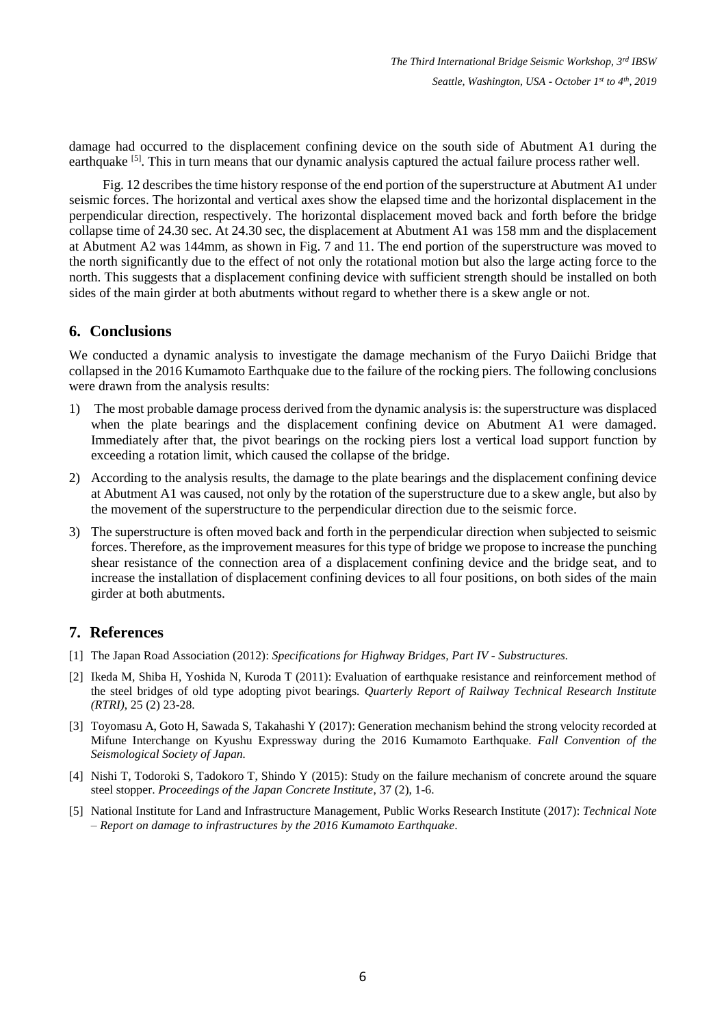damage had occurred to the displacement confining device on the south side of Abutment A1 during the earthquake <sup>[5]</sup>. This in turn means that our dynamic analysis captured the actual failure process rather well.

Fig. 12 describes the time history response of the end portion of the superstructure at Abutment A1 under seismic forces. The horizontal and vertical axes show the elapsed time and the horizontal displacement in the perpendicular direction, respectively. The horizontal displacement moved back and forth before the bridge collapse time of 24.30 sec. At 24.30 sec, the displacement at Abutment A1 was 158 mm and the displacement at Abutment A2 was 144mm, as shown in Fig. 7 and 11. The end portion of the superstructure was moved to the north significantly due to the effect of not only the rotational motion but also the large acting force to the north. This suggests that a displacement confining device with sufficient strength should be installed on both sides of the main girder at both abutments without regard to whether there is a skew angle or not.

# **6. Conclusions**

We conducted a dynamic analysis to investigate the damage mechanism of the Furyo Daiichi Bridge that collapsed in the 2016 Kumamoto Earthquake due to the failure of the rocking piers. The following conclusions were drawn from the analysis results:

- 1) The most probable damage process derived from the dynamic analysis is: the superstructure was displaced when the plate bearings and the displacement confining device on Abutment A1 were damaged. Immediately after that, the pivot bearings on the rocking piers lost a vertical load support function by exceeding a rotation limit, which caused the collapse of the bridge.
- 2) According to the analysis results, the damage to the plate bearings and the displacement confining device at Abutment A1 was caused, not only by the rotation of the superstructure due to a skew angle, but also by the movement of the superstructure to the perpendicular direction due to the seismic force.
- 3) The superstructure is often moved back and forth in the perpendicular direction when subjected to seismic forces. Therefore, as the improvement measures for this type of bridge we propose to increase the punching shear resistance of the connection area of a displacement confining device and the bridge seat, and to increase the installation of displacement confining devices to all four positions, on both sides of the main girder at both abutments.

# **7. References**

- [1] The Japan Road Association (2012): *Specifications for Highway Bridges, Part IV - Substructures.*
- [2] Ikeda M, Shiba H, Yoshida N, Kuroda T (2011): Evaluation of earthquake resistance and reinforcement method of the steel bridges of old type adopting pivot bearings. *Quarterly Report of Railway Technical Research Institute (RTRI)*, 25 (2) 23-28.
- [3] Toyomasu A, Goto H, Sawada S, Takahashi Y (2017): Generation mechanism behind the strong velocity recorded at Mifune Interchange on Kyushu Expressway during the 2016 Kumamoto Earthquake. *Fall Convention of the Seismological Society of Japan.*
- [4] Nishi T, Todoroki S, Tadokoro T, Shindo Y (2015): Study on the failure mechanism of concrete around the square steel stopper. *Proceedings of the Japan Concrete Institute*, 37 (2), 1-6.
- [5] National Institute for Land and Infrastructure Management, Public Works Research Institute (2017): *Technical Note – Report on damage to infrastructures by the 2016 Kumamoto Earthquake*.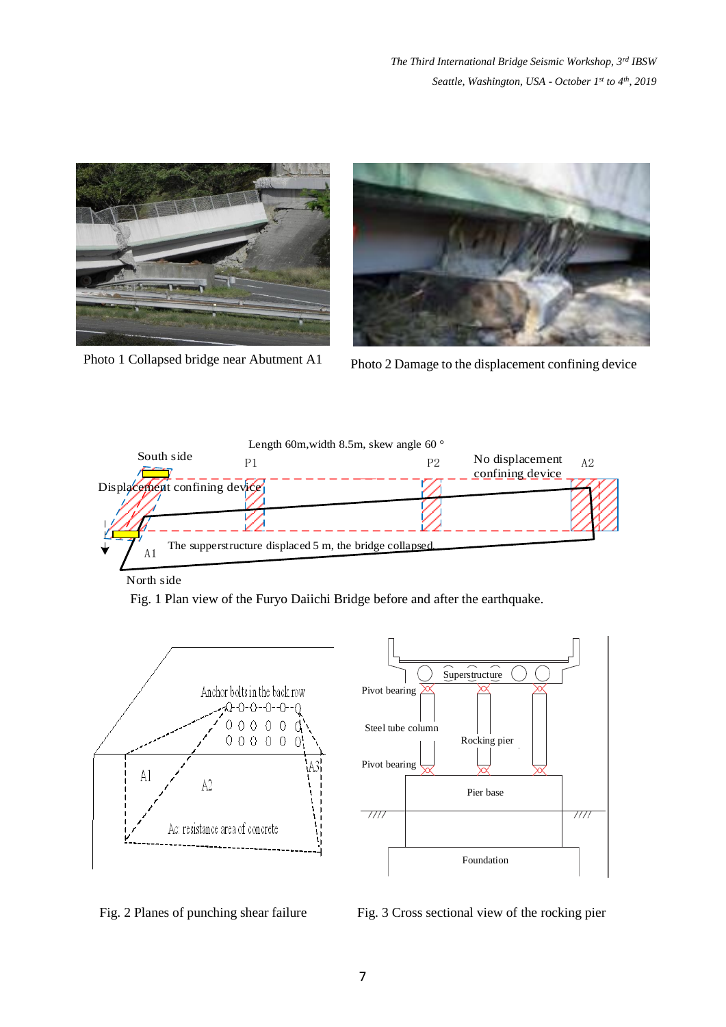*The Third International Bridge Seismic Workshop, 3rd IBSW Seattle, Washington, USA - October 1 st to 4th , 2019*





Photo 1 Collapsed bridge near Abutment A1 Photo 2 Damage to the displacement confining device



North side

Fig. 1 Plan view of the Furyo Daiichi Bridge before and after the earthquake.





Fig. 2 Planes of punching shear failure Fig. 3 Cross sectional view of the rocking pier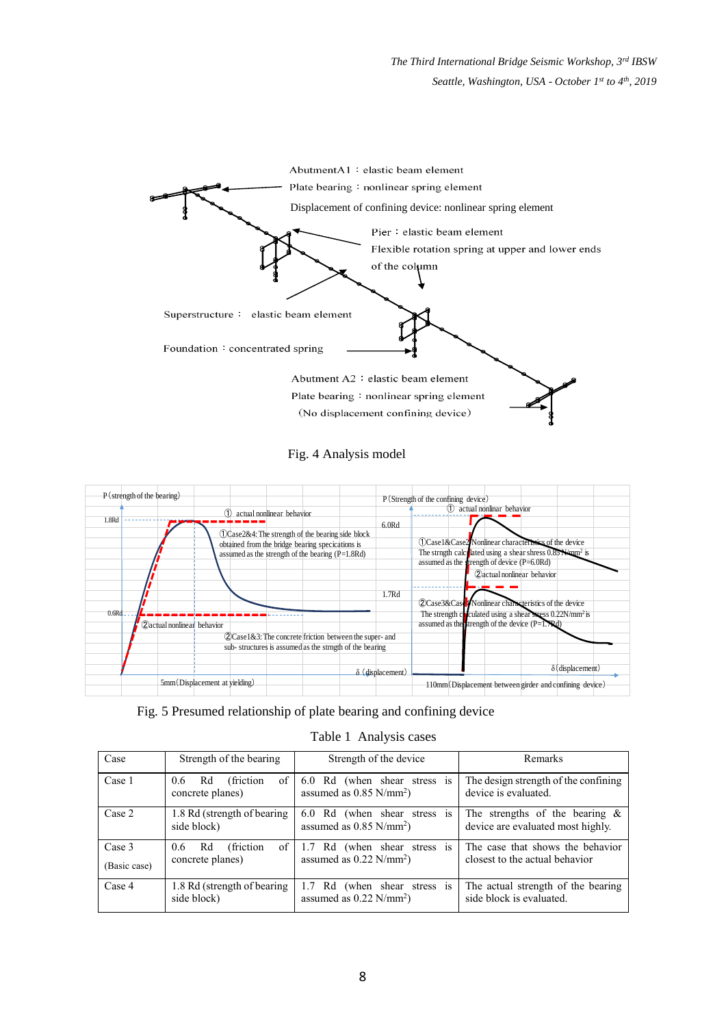*The Third International Bridge Seismic Workshop, 3rd IBSW Seattle, Washington, USA - October 1 st to 4th , 2019*



Fig. 4 Analysis model





| Table 1 Analysis cases |  |
|------------------------|--|
|                        |  |

| Case                   | Strength of the bearing                                     | Strength of the device                                                               | Remarks                                                                |
|------------------------|-------------------------------------------------------------|--------------------------------------------------------------------------------------|------------------------------------------------------------------------|
| Case 1                 | of<br>(friction)<br>Rd<br>$0.6^{\circ}$<br>concrete planes) | 6.0 Rd (when shear stress<br><sup>1</sup> S<br>assumed as $0.85$ N/mm <sup>2</sup> ) | The design strength of the confining<br>device is evaluated.           |
| Case 2                 | 1.8 Rd (strength of bearing)<br>side block)                 | 6.0 Rd (when shear stress<br><b>1S</b><br>assumed as $0.85$ N/mm <sup>2</sup> )      | The strengths of the bearing $\&$<br>device are evaluated most highly. |
| Case 3<br>(Basic case) | (friction)<br>of<br>Rd<br>$0.6^{\circ}$<br>concrete planes) | 1.7 Rd (when shear stress is<br>assumed as $0.22$ N/mm <sup>2</sup> )                | The case that shows the behavior<br>closest to the actual behavior     |
| Case 4                 | 1.8 Rd (strength of bearing)<br>side block)                 | 1.7 Rd (when shear stress is<br>assumed as $0.22$ N/mm <sup>2</sup> )                | The actual strength of the bearing<br>side block is evaluated.         |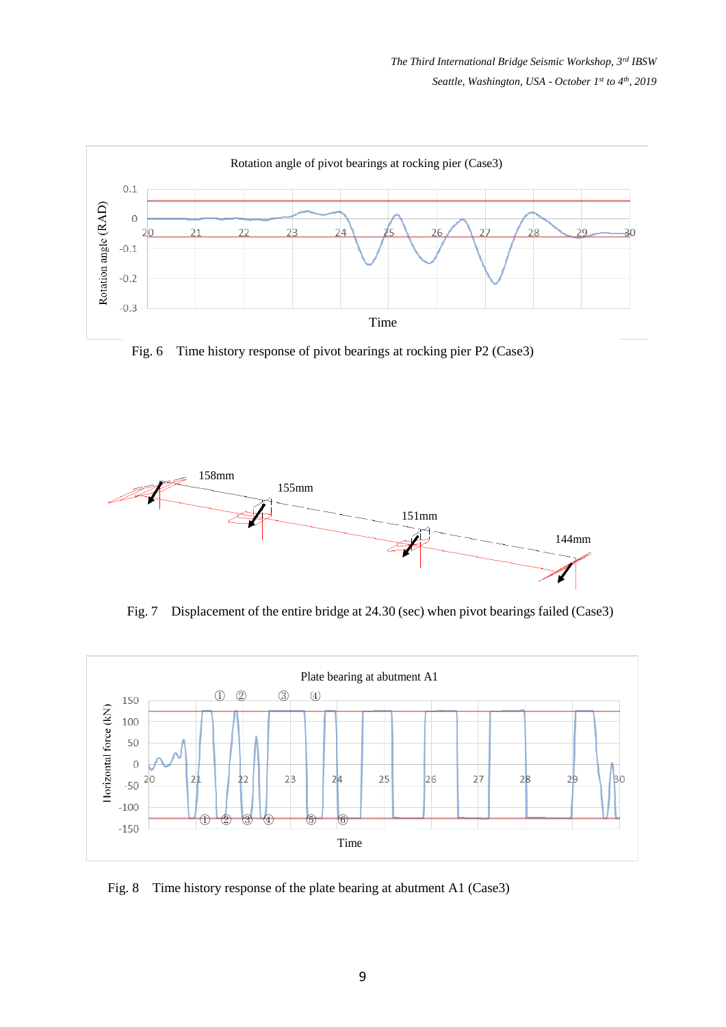

Fig. 6 Time history response of pivot bearings at rocking pier P2 (Case3)



Fig. 7 Displacement of the entire bridge at 24.30 (sec) when pivot bearings failed (Case3)



Fig. 8 Time history response of the plate bearing at abutment A1 (Case3)